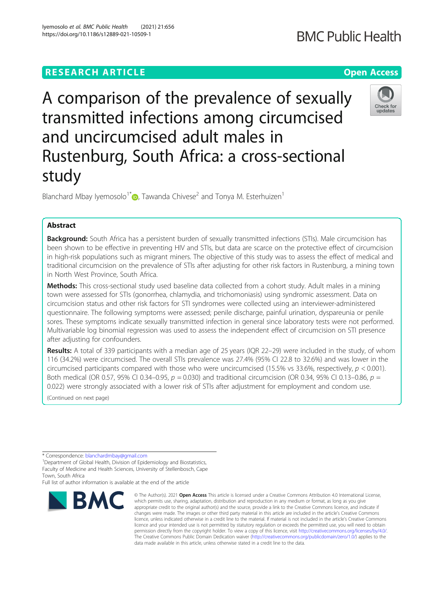## **RESEARCH ARTICLE Example 2014 12:30 The Contract of Contract ACCESS**

# A comparison of the prevalence of sexually transmitted infections among circumcised and uncircumcised adult males in Rustenburg, South Africa: a cross-sectional study

Blanchard Mbay Iyemosolo<sup>1\*</sup>  $\bullet$ [,](http://orcid.org/0000-0002-0875-0063) Tawanda Chivese<sup>2</sup> and Tonya M. Esterhuizen<sup>1</sup>

## Abstract

Background: South Africa has a persistent burden of sexually transmitted infections (STIs). Male circumcision has been shown to be effective in preventing HIV and STIs, but data are scarce on the protective effect of circumcision in high-risk populations such as migrant miners. The objective of this study was to assess the effect of medical and traditional circumcision on the prevalence of STIs after adjusting for other risk factors in Rustenburg, a mining town in North West Province, South Africa.

Methods: This cross-sectional study used baseline data collected from a cohort study. Adult males in a mining town were assessed for STIs (gonorrhea, chlamydia, and trichomoniasis) using syndromic assessment. Data on circumcision status and other risk factors for STI syndromes were collected using an interviewer-administered questionnaire. The following symptoms were assessed; penile discharge, painful urination, dyspareunia or penile sores. These symptoms indicate sexually transmitted infection in general since laboratory tests were not performed. Multivariable log binomial regression was used to assess the independent effect of circumcision on STI presence after adjusting for confounders.

Results: A total of 339 participants with a median age of 25 years (IQR 22-29) were included in the study, of whom 116 (34.2%) were circumcised. The overall STIs prevalence was 27.4% (95% CI 22.8 to 32.6%) and was lower in the circumcised participants compared with those who were uncircumcised (15.5% vs 33.6%, respectively,  $p < 0.001$ ). Both medical (OR 0.57, 95% CI 0.34–0.95,  $p = 0.030$ ) and traditional circumcision (OR 0.34, 95% CI 0.13–0.86,  $p =$ 0.022) were strongly associated with a lower risk of STIs after adjustment for employment and condom use.

(Continued on next page)

**BMC** 

Full list of author information is available at the end of the article

#### © The Author(s), 2021 **Open Access** This article is licensed under a Creative Commons Attribution 4.0 International License, which permits use, sharing, adaptation, distribution and reproduction in any medium or format, as long as you give appropriate credit to the original author(s) and the source, provide a link to the Creative Commons licence, and indicate if changes were made. The images or other third party material in this article are included in the article's Creative Commons licence, unless indicated otherwise in a credit line to the material. If material is not included in the article's Creative Commons licence and your intended use is not permitted by statutory regulation or exceeds the permitted use, you will need to obtain permission directly from the copyright holder. To view a copy of this licence, visit [http://creativecommons.org/licenses/by/4.0/.](http://creativecommons.org/licenses/by/4.0/) The Creative Commons Public Domain Dedication waiver [\(http://creativecommons.org/publicdomain/zero/1.0/](http://creativecommons.org/publicdomain/zero/1.0/)) applies to the data made available in this article, unless otherwise stated in a credit line to the data.







Check for undates

<sup>\*</sup> Correspondence: [blanchardmbay@gmail.com](mailto:blanchardmbay@gmail.com) <sup>1</sup>

<sup>&</sup>lt;sup>1</sup>Department of Global Health, Division of Epidemiology and Biostatistics, Faculty of Medicine and Health Sciences, University of Stellenbosch, Cape Town, South Africa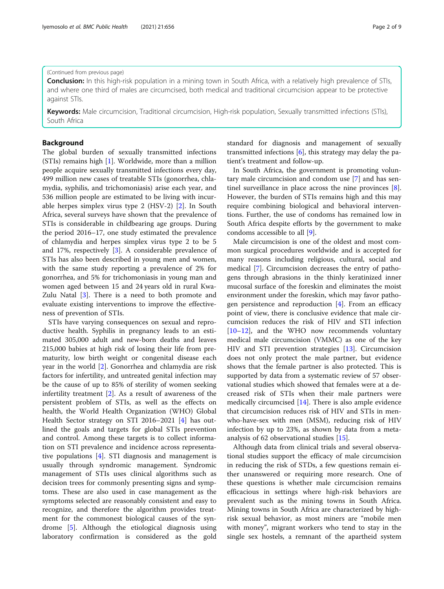## (Continued from previous page)

**Conclusion:** In this high-risk population in a mining town in South Africa, with a relatively high prevalence of STIs, and where one third of males are circumcised, both medical and traditional circumcision appear to be protective against STIs.

Keywords: Male circumcision, Traditional circumcision, High-risk population, Sexually transmitted infections (STIs), South Africa

## Background

The global burden of sexually transmitted infections (STIs) remains high [\[1](#page-7-0)]. Worldwide, more than a million people acquire sexually transmitted infections every day, 499 million new cases of treatable STIs (gonorrhea, chlamydia, syphilis, and trichomoniasis) arise each year, and 536 million people are estimated to be living with incurable herpes simplex virus type 2 (HSV-2) [\[2](#page-7-0)]. In South Africa, several surveys have shown that the prevalence of STIs is considerable in childbearing age groups. During the period 2016–17, one study estimated the prevalence of chlamydia and herpes simplex virus type 2 to be 5 and 17%, respectively [[3\]](#page-7-0). A considerable prevalence of STIs has also been described in young men and women, with the same study reporting a prevalence of 2% for gonorrhea, and 5% for trichomoniasis in young man and women aged between 15 and 24 years old in rural Kwa-Zulu Natal [[3\]](#page-7-0). There is a need to both promote and evaluate existing interventions to improve the effectiveness of prevention of STIs.

STIs have varying consequences on sexual and reproductive health. Syphilis in pregnancy leads to an estimated 305,000 adult and new-born deaths and leaves 215,000 babies at high risk of losing their life from prematurity, low birth weight or congenital disease each year in the world [[2\]](#page-7-0). Gonorrhea and chlamydia are risk factors for infertility, and untreated genital infection may be the cause of up to 85% of sterility of women seeking infertility treatment [[2\]](#page-7-0). As a result of awareness of the persistent problem of STIs, as well as the effects on health, the World Health Organization (WHO) Global Health Sector strategy on STI 2016–2021 [[4\]](#page-7-0) has outlined the goals and targets for global STIs prevention and control. Among these targets is to collect information on STI prevalence and incidence across representative populations [\[4](#page-7-0)]. STI diagnosis and management is usually through syndromic management. Syndromic management of STIs uses clinical algorithms such as decision trees for commonly presenting signs and symptoms. These are also used in case management as the symptoms selected are reasonably consistent and easy to recognize, and therefore the algorithm provides treatment for the commonest biological causes of the syndrome [\[5](#page-7-0)]. Although the etiological diagnosis using laboratory confirmation is considered as the gold standard for diagnosis and management of sexually transmitted infections  $[6]$  $[6]$ , this strategy may delay the patient's treatment and follow-up.

In South Africa, the government is promoting voluntary male circumcision and condom use [[7\]](#page-7-0) and has sentinel surveillance in place across the nine provinces [\[8](#page-7-0)]. However, the burden of STIs remains high and this may require combining biological and behavioral interventions. Further, the use of condoms has remained low in South Africa despite efforts by the government to make condoms accessible to all [\[9](#page-7-0)].

Male circumcision is one of the oldest and most common surgical procedures worldwide and is accepted for many reasons including religious, cultural, social and medical [\[7](#page-7-0)]. Circumcision decreases the entry of pathogens through abrasions in the thinly keratinized inner mucosal surface of the foreskin and eliminates the moist environment under the foreskin, which may favor pathogen persistence and reproduction [\[4](#page-7-0)]. From an efficacy point of view, there is conclusive evidence that male circumcision reduces the risk of HIV and STI infection [[10](#page-7-0)–[12](#page-7-0)], and the WHO now recommends voluntary medical male circumcision (VMMC) as one of the key HIV and STI prevention strategies [[13](#page-7-0)]. Circumcision does not only protect the male partner, but evidence shows that the female partner is also protected. This is supported by data from a systematic review of 57 observational studies which showed that females were at a decreased risk of STIs when their male partners were medically circumcised [[14](#page-7-0)]. There is also ample evidence that circumcision reduces risk of HIV and STIs in menwho-have-sex with men (MSM), reducing risk of HIV infection by up to 23%, as shown by data from a metaanalysis of 62 observational studies [\[15\]](#page-7-0).

Although data from clinical trials and several observational studies support the efficacy of male circumcision in reducing the risk of STDs, a few questions remain either unanswered or requiring more research. One of these questions is whether male circumcision remains efficacious in settings where high-risk behaviors are prevalent such as the mining towns in South Africa. Mining towns in South Africa are characterized by highrisk sexual behavior, as most miners are "mobile men with money", migrant workers who tend to stay in the single sex hostels, a remnant of the apartheid system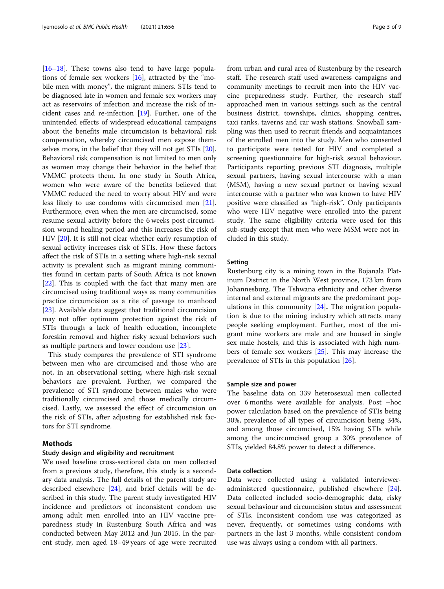$[16–18]$  $[16–18]$  $[16–18]$  $[16–18]$  $[16–18]$ . These towns also tend to have large populations of female sex workers [\[16](#page-7-0)], attracted by the "mobile men with money", the migrant miners. STIs tend to be diagnosed late in women and female sex workers may act as reservoirs of infection and increase the risk of incident cases and re-infection [[19](#page-7-0)]. Further, one of the unintended effects of widespread educational campaigns about the benefits male circumcision is behavioral risk compensation, whereby circumcised men expose themselves more, in the belief that they will not get STIs [\[20](#page-7-0)]. Behavioral risk compensation is not limited to men only as women may change their behavior in the belief that VMMC protects them. In one study in South Africa, women who were aware of the benefits believed that VMMC reduced the need to worry about HIV and were less likely to use condoms with circumcised men [\[21](#page-7-0)]. Furthermore, even when the men are circumcised, some resume sexual activity before the 6 weeks post circumcision wound healing period and this increases the risk of HIV [\[20](#page-7-0)]. It is still not clear whether early resumption of sexual activity increases risk of STIs. How these factors affect the risk of STIs in a setting where high-risk sexual activity is prevalent such as migrant mining communities found in certain parts of South Africa is not known [[22\]](#page-7-0). This is coupled with the fact that many men are circumcised using traditional ways as many communities practice circumcision as a rite of passage to manhood [[23\]](#page-7-0). Available data suggest that traditional circumcision may not offer optimum protection against the risk of STIs through a lack of health education, incomplete foreskin removal and higher risky sexual behaviors such as multiple partners and lower condom use [[23\]](#page-7-0).

This study compares the prevalence of STI syndrome between men who are circumcised and those who are not, in an observational setting, where high-risk sexual behaviors are prevalent. Further, we compared the prevalence of STI syndrome between males who were traditionally circumcised and those medically circumcised. Lastly, we assessed the effect of circumcision on the risk of STIs, after adjusting for established risk factors for STI syndrome.

## Methods

## Study design and eligibility and recruitment

We used baseline cross-sectional data on men collected from a previous study, therefore, this study is a secondary data analysis. The full details of the parent study are described elsewhere [\[24](#page-7-0)], and brief details will be described in this study. The parent study investigated HIV incidence and predictors of inconsistent condom use among adult men enrolled into an HIV vaccine preparedness study in Rustenburg South Africa and was conducted between May 2012 and Jun 2015. In the parent study, men aged 18–49 years of age were recruited from urban and rural area of Rustenburg by the research staff. The research staff used awareness campaigns and community meetings to recruit men into the HIV vaccine preparedness study. Further, the research staff approached men in various settings such as the central business district, townships, clinics, shopping centres, taxi ranks, taverns and car wash stations. Snowball sampling was then used to recruit friends and acquaintances of the enrolled men into the study. Men who consented to participate were tested for HIV and completed a screening questionnaire for high-risk sexual behaviour. Participants reporting previous STI diagnosis, multiple sexual partners, having sexual intercourse with a man (MSM), having a new sexual partner or having sexual intercourse with a partner who was known to have HIV positive were classified as "high-risk". Only participants who were HIV negative were enrolled into the parent study. The same eligibility criteria were used for this sub-study except that men who were MSM were not included in this study.

#### Setting

Rustenburg city is a mining town in the Bojanala Platinum District in the North West province, 173 km from Johannesburg. The Tshwana ethnicity and other diverse internal and external migrants are the predominant populations in this community  $[24]$  $[24]$  $[24]$ . The migration population is due to the mining industry which attracts many people seeking employment. Further, most of the migrant mine workers are male and are housed in single sex male hostels, and this is associated with high numbers of female sex workers [[25\]](#page-7-0). This may increase the prevalence of STIs in this population [\[26](#page-7-0)].

## Sample size and power

The baseline data on 339 heterosexual men collected over 6 months were available for analysis. Post –hoc power calculation based on the prevalence of STIs being 30%, prevalence of all types of circumcision being 34%, and among those circumcised, 15% having STIs while among the uncircumcised group a 30% prevalence of STIs, yielded 84.8% power to detect a difference.

## Data collection

Data were collected using a validated intervieweradministered questionnaire, published elsewhere [\[24](#page-7-0)]. Data collected included socio-demographic data, risky sexual behaviour and circumcision status and assessment of STIs. Inconsistent condom use was categorized as never, frequently, or sometimes using condoms with partners in the last 3 months, while consistent condom use was always using a condom with all partners.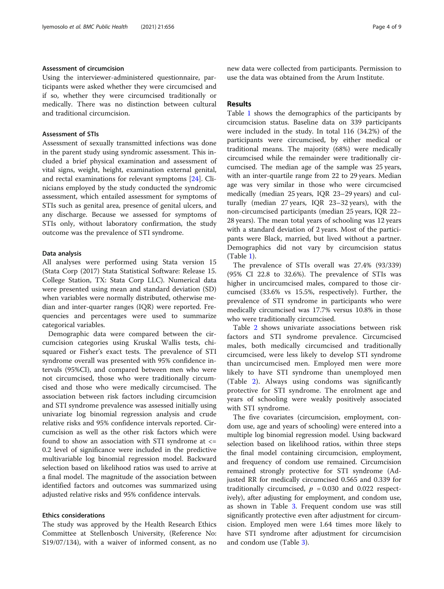## Assessment of circumcision

Using the interviewer-administered questionnaire, participants were asked whether they were circumcised and if so, whether they were circumcised traditionally or medically. There was no distinction between cultural and traditional circumcision.

## Assessment of STIs

Assessment of sexually transmitted infections was done in the parent study using syndromic assessment. This included a brief physical examination and assessment of vital signs, weight, height, examination external genital, and rectal examinations for relevant symptoms [[24\]](#page-7-0). Clinicians employed by the study conducted the syndromic assessment, which entailed assessment for symptoms of STIs such as genital area, presence of genital ulcers, and any discharge. Because we assessed for symptoms of STIs only, without laboratory confirmation, the study outcome was the prevalence of STI syndrome.

#### Data analysis

All analyses were performed using Stata version 15 (Stata Corp (2017) Stata Statistical Software: Release 15. College Station, TX: Stata Corp LLC). Numerical data were presented using mean and standard deviation (SD) when variables were normally distributed, otherwise median and inter-quarter ranges (IQR) were reported. Frequencies and percentages were used to summarize categorical variables.

Demographic data were compared between the circumcision categories using Kruskal Wallis tests, chisquared or Fisher's exact tests. The prevalence of STI syndrome overall was presented with 95% confidence intervals (95%CI), and compared between men who were not circumcised, those who were traditionally circumcised and those who were medically circumcised. The association between risk factors including circumcision and STI syndrome prevalence was assessed initially using univariate log binomial regression analysis and crude relative risks and 95% confidence intervals reported. Circumcision as well as the other risk factors which were found to show an association with STI syndrome at  $\le$  = 0.2 level of significance were included in the predictive multivariable log binomial regression model. Backward selection based on likelihood ratios was used to arrive at a final model. The magnitude of the association between identified factors and outcomes was summarized using adjusted relative risks and 95% confidence intervals.

#### Ethics considerations

The study was approved by the Health Research Ethics Committee at Stellenbosch University, (Reference No: S19/07/134), with a waiver of informed consent, as no new data were collected from participants. Permission to use the data was obtained from the Arum Institute.

## Results

Table [1](#page-4-0) shows the demographics of the participants by circumcision status. Baseline data on 339 participants were included in the study. In total 116 (34.2%) of the participants were circumcised, by either medical or traditional means. The majority (68%) were medically circumcised while the remainder were traditionally circumcised. The median age of the sample was 25 years, with an inter-quartile range from 22 to 29 years. Median age was very similar in those who were circumcised medically (median 25 years, IQR 23–29 years) and culturally (median 27 years, IQR 23–32 years), with the non-circumcised participants (median 25 years, IQR 22– 28 years). The mean total years of schooling was 12 years with a standard deviation of 2 years. Most of the participants were Black, married, but lived without a partner. Demographics did not vary by circumcision status (Table [1\)](#page-4-0).

The prevalence of STIs overall was 27.4% (93/339) (95% CI 22.8 to 32.6%). The prevalence of STIs was higher in uncircumcised males, compared to those circumcised (33.6% vs 15.5%, respectively). Further, the prevalence of STI syndrome in participants who were medically circumcised was 17.7% versus 10.8% in those who were traditionally circumcised.

Table [2](#page-5-0) shows univariate associations between risk factors and STI syndrome prevalence. Circumcised males, both medically circumcised and traditionally circumcised, were less likely to develop STI syndrome than uncircumcised men. Employed men were more likely to have STI syndrome than unemployed men (Table [2](#page-5-0)). Always using condoms was significantly protective for STI syndrome. The enrolment age and years of schooling were weakly positively associated with STI syndrome.

The five covariates (circumcision, employment, condom use, age and years of schooling) were entered into a multiple log binomial regression model. Using backward selection based on likelihood ratios, within three steps the final model containing circumcision, employment, and frequency of condom use remained. Circumcision remained strongly protective for STI syndrome (Adjusted RR for medically circumcised 0.565 and 0.339 for traditionally circumcised,  $p = 0.030$  and 0.022 respectively), after adjusting for employment, and condom use, as shown in Table [3.](#page-6-0) Frequent condom use was still significantly protective even after adjustment for circumcision. Employed men were 1.64 times more likely to have STI syndrome after adjustment for circumcision and condom use (Table [3\)](#page-6-0).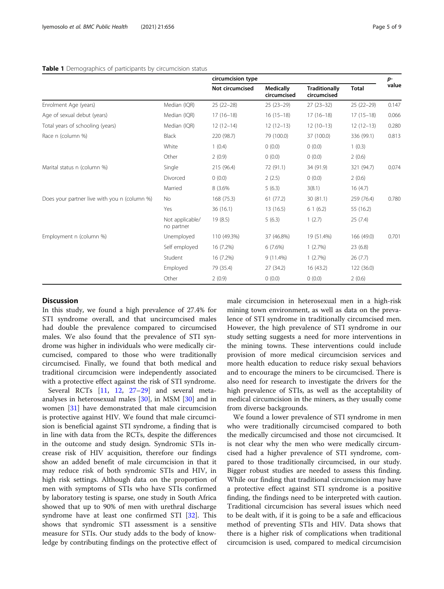#### <span id="page-4-0"></span>Table 1 Demographics of participants by circumcision status

|                                              |                               | circumcision type |                                 |                                     |              | p-    |
|----------------------------------------------|-------------------------------|-------------------|---------------------------------|-------------------------------------|--------------|-------|
|                                              |                               | Not circumcised   | <b>Medically</b><br>circumcised | <b>Traditionally</b><br>circumcised | <b>Total</b> | value |
| Enrolment Age (years)                        | Median (IQR)                  | $25(22-28)$       | $25(23-29)$                     | $27(23-32)$                         | $25(22-29)$  | 0.147 |
| Age of sexual debut (years)                  | Median (IQR)                  | $17(16-18)$       | $16(15-18)$                     | $17(16-18)$                         | $17(15-18)$  | 0.066 |
| Total years of schooling (years)             | Median (IQR)                  | $12(12-14)$       | $12(12-13)$                     | $12(10-13)$                         | $12(12-13)$  | 0.280 |
| Race n (column %)                            | Black                         | 220 (98.7)        | 79 (100.0)                      | 37 (100.0)                          | 336 (99.1)   | 0.813 |
|                                              | White                         | 1(0.4)            | 0(0.0)                          | 0(0.0)                              | 1(0.3)       |       |
|                                              | Other                         | 2(0.9)            | (0.0)                           | 0(0.0)                              | 2(0.6)       |       |
| Marital status n (column %)                  | Single                        | 215 (96.4)        | 72 (91.1)                       | 34 (91.9)                           | 321 (94.7)   | 0.074 |
|                                              | Divorced                      | 0(0.0)            | 2(2.5)                          | 0(0.0)                              | 2(0.6)       |       |
|                                              | Married                       | 8 (3.6%           | 5(6.3)                          | 3(8.1)                              | 16(4.7)      |       |
| Does your partner live with you n (column %) | <b>No</b>                     | 168 (75.3)        | 61(77.2)                        | 30(81.1)                            | 259 (76.4)   | 0.780 |
|                                              | Yes                           | 36(16.1)          | 13 (16.5)                       | 61(6.2)                             | 55 (16.2)    |       |
|                                              | Not applicable/<br>no partner | 19(8.5)           | 5(6.3)                          | 1(2.7)                              | 25(7.4)      |       |
| Employment n (column %)                      | Unemployed                    | 110 (49.3%)       | 37 (46.8%)                      | 19 (51.4%)                          | 166 (49.0)   | 0.701 |
|                                              | Self employed                 | 16 (7.2%)         | 6(7.6%)                         | 1(2.7%)                             | 23(6.8)      |       |
|                                              | Student                       | 16 (7.2%)         | $9(11.4\%)$                     | 1(2.7%)                             | 26(7.7)      |       |
|                                              | Employed                      | 79 (35.4)         | 27 (34.2)                       | 16 (43.2)                           | 122 (36.0)   |       |
|                                              | Other                         | 2(0.9)            | (0.0)                           | 0(0.0)                              | 2(0.6)       |       |

## **Discussion**

In this study, we found a high prevalence of 27.4% for STI syndrome overall, and that uncircumcised males had double the prevalence compared to circumcised males. We also found that the prevalence of STI syndrome was higher in individuals who were medically circumcised, compared to those who were traditionally circumcised. Finally, we found that both medical and traditional circumcision were independently associated with a protective effect against the risk of STI syndrome.

Several RCTs [[11](#page-7-0), [12,](#page-7-0) [27](#page-7-0)-[29\]](#page-7-0) and several metaanalyses in heterosexual males [[30\]](#page-7-0), in MSM [\[30\]](#page-7-0) and in women [[31\]](#page-7-0) have demonstrated that male circumcision is protective against HIV. We found that male circumcision is beneficial against STI syndrome, a finding that is in line with data from the RCTs, despite the differences in the outcome and study design. Syndromic STIs increase risk of HIV acquisition, therefore our findings show an added benefit of male circumcision in that it may reduce risk of both syndromic STIs and HIV, in high risk settings. Although data on the proportion of men with symptoms of STIs who have STIs confirmed by laboratory testing is sparse, one study in South Africa showed that up to 90% of men with urethral discharge syndrome have at least one confirmed STI [\[32\]](#page-7-0). This shows that syndromic STI assessment is a sensitive measure for STIs. Our study adds to the body of knowledge by contributing findings on the protective effect of male circumcision in heterosexual men in a high-risk mining town environment, as well as data on the prevalence of STI syndrome in traditionally circumcised men. However, the high prevalence of STI syndrome in our study setting suggests a need for more interventions in the mining towns. These interventions could include provision of more medical circumcision services and more health education to reduce risky sexual behaviors and to encourage the miners to be circumcised. There is also need for research to investigate the drivers for the high prevalence of STIs, as well as the acceptability of medical circumcision in the miners, as they usually come from diverse backgrounds.

We found a lower prevalence of STI syndrome in men who were traditionally circumcised compared to both the medically circumcised and those not circumcised. It is not clear why the men who were medically circumcised had a higher prevalence of STI syndrome, compared to those traditionally circumcised, in our study. Bigger robust studies are needed to assess this finding. While our finding that traditional circumcision may have a protective effect against STI syndrome is a positive finding, the findings need to be interpreted with caution. Traditional circumcision has several issues which need to be dealt with, if it is going to be a safe and efficacious method of preventing STIs and HIV. Data shows that there is a higher risk of complications when traditional circumcision is used, compared to medical circumcision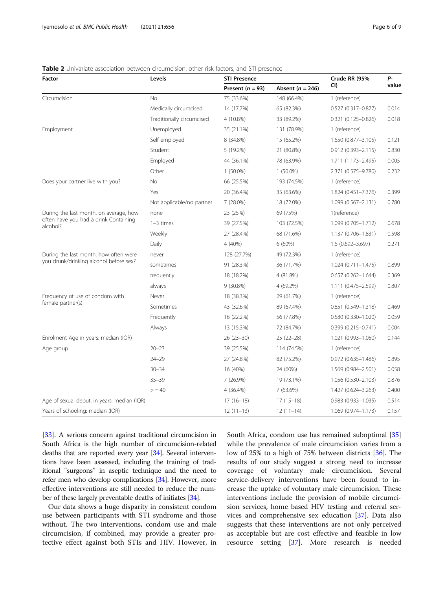| Factor                                               | Levels                    | <b>STI Presence</b> |                      | Crude RR (95%                                    | Р-    |  |
|------------------------------------------------------|---------------------------|---------------------|----------------------|--------------------------------------------------|-------|--|
|                                                      |                           | Present $(n = 93)$  | Absent ( $n = 246$ ) | CI)                                              | value |  |
| Circumcision                                         | No                        | 75 (33.6%)          | 148 (66.4%)          | 1 (reference)                                    |       |  |
|                                                      | Medically circumcised     | 14 (17.7%)          | 65 (82.3%)           | 0.527 (0.317-0.877)                              | 0.014 |  |
|                                                      | Traditionally circumcised | 4 (10.8%)           | 33 (89.2%)           | $0.321(0.125 - 0.826)$                           | 0.018 |  |
| Employment                                           | Unemployed                | 35 (21.1%)          | 131 (78.9%)          | 1 (reference)                                    |       |  |
|                                                      | Self employed             | 8 (34.8%)           | 15 (65.2%)           | 1.650 (0.877-3.105)                              | 0.121 |  |
|                                                      | Student                   | 5 (19.2%)           | 21 (80.8%)           | 0.912 (0.393-2.115)                              | 0.830 |  |
|                                                      | Employed                  | 44 (36.1%)          | 78 (63.9%)           | 1.711 (1.173-2.495)                              | 0.005 |  |
|                                                      | Other                     | $1(50.0\%)$         | $1(50.0\%)$          | 2.371 (0.575-9.780)                              | 0.232 |  |
| Does your partner live with you?                     | <b>No</b>                 | 66 (25.5%)          | 193 (74.5%)          | 1 (reference)                                    |       |  |
|                                                      | Yes                       | 20 (36.4%)          | 35 (63.6%)           | 1.824 (0.451-7.376)                              | 0.399 |  |
|                                                      | Not applicable/no partner | 7 (28.0%)           | 18 (72.0%)           | $1.099(0.567 - 2.131)$                           | 0.780 |  |
| During the last month, on average, how               | none                      | 23 (25%)            | 69 (75%)             | 1(reference)                                     |       |  |
| often have you had a drink Containing<br>alcohol?    | $1-3$ times               | 39 (27.5%)          | 103 (72.5%)          | 1.099 (0.705-1.712)                              | 0.678 |  |
|                                                      | Weekly                    | 27 (28.4%)          | 68 (71.6%)           | 1.137 (0.706-1.831)                              | 0.598 |  |
|                                                      | Daily                     | 4 (40%)             | 6 (60%)              | 1.6 (0.692-3.697)                                | 0.271 |  |
| During the last month, how often were                | never                     | 128 (27.7%)         | 49 (72.3%)           | 1 (reference)                                    |       |  |
| you drunk/drinking alcohol before sex?               | sometimes                 | 91 (28.3%)          | 36 (71.7%)           | 1.024 (0.711-1.475)<br>$0.657$ $(0.262 - 1.644)$ | 0.899 |  |
|                                                      | frequently                | 18 (18.2%)          | 4 (81.8%)            |                                                  | 0.369 |  |
|                                                      | always                    | 9 (30.8%)           | 4 (69.2%)            | 1.111 (0.475-2.599)                              | 0.807 |  |
| Frequency of use of condom with<br>female partner(s) | Never                     | 18 (38.3%)          | 29 (61.7%)           | 1 (reference)                                    |       |  |
|                                                      | Sometimes                 | 43 (32.6%)          | 89 (67.4%)           | 0.851 (0.549-1.318)                              | 0.469 |  |
|                                                      | Frequently                | 16 (22.2%)          | 56 (77.8%)           | $0.580(0.330 - 1.020)$                           | 0.059 |  |
|                                                      | Always                    | 13 (15.3%)          | 72 (84.7%)           | $0.399(0.215 - 0.741)$                           | 0.004 |  |
| Enrolment Age in years: median (IQR)                 |                           | $26(23-30)$         | $25(22-28)$          | 1.021 (0.993-1.050)                              | 0.144 |  |
| Age group                                            | $20 - 23$                 | 39 (25.5%)          | 114 (74.5%)          | 1 (reference)                                    |       |  |
|                                                      | $24 - 29$                 | 27 (24.8%)          | 82 (75.2%)           | 0.972 (0.635-1.486)                              | 0.895 |  |
|                                                      | $30 - 34$                 | 16 (40%)            | 24 (60%)             | 1.569 (0.984-2.501)                              | 0.058 |  |
|                                                      | $35 - 39$                 | 7 (26.9%)           | 19 (73.1%)           | 1.056 (0.530-2.103)                              | 0.876 |  |
|                                                      | > 40                      | 4 (36.4%)           | 7 (63.6%)            | 1.427 (0.624-3.263)                              | 0.400 |  |
| Age of sexual debut, in years: median (IQR)          |                           | $17(16-18)$         | $17(15-18)$          | $0.983$ $(0.933 - 1.035)$                        | 0.514 |  |
| Years of schooling: median (IQR)                     |                           | $12(11-13)$         | $12(11-14)$          | 1.069 (0.974-1.173)                              | 0.157 |  |

## <span id="page-5-0"></span>Table 2 Univariate association between circumcision, other risk factors, and STI presence

[[33\]](#page-8-0). A serious concern against traditional circumcision in South Africa is the high number of circumcision-related deaths that are reported every year [\[34\]](#page-8-0). Several interventions have been assessed, including the training of traditional "surgeons" in aseptic technique and the need to refer men who develop complications [\[34](#page-8-0)]. However, more effective interventions are still needed to reduce the number of these largely preventable deaths of initiates [[34](#page-8-0)].

Our data shows a huge disparity in consistent condom use between participants with STI syndrome and those without. The two interventions, condom use and male circumcision, if combined, may provide a greater protective effect against both STIs and HIV. However, in South Africa, condom use has remained suboptimal [[35](#page-8-0)] while the prevalence of male circumcision varies from a low of 25% to a high of 75% between districts [[36](#page-8-0)]. The results of our study suggest a strong need to increase coverage of voluntary male circumcision. Several service-delivery interventions have been found to increase the uptake of voluntary male circumcision. These interventions include the provision of mobile circumcision services, home based HIV testing and referral services and comprehensive sex education [\[37](#page-8-0)]. Data also suggests that these interventions are not only perceived as acceptable but are cost effective and feasible in low resource setting [[37](#page-8-0)]. More research is needed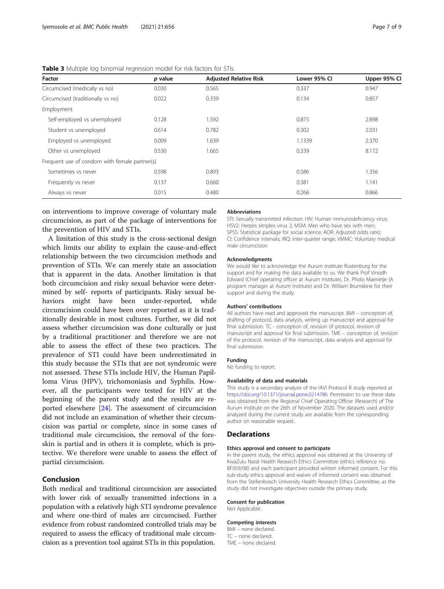| Factor                                        | p value | <b>Adjusted Relative Risk</b> | Lower 95% CI | Upper 95% Cl |
|-----------------------------------------------|---------|-------------------------------|--------------|--------------|
| Circumcised (medically vs no)                 | 0.030   | 0.565                         | 0.337        | 0.947        |
| Circumcised (traditionally vs no)             | 0.022   | 0.339                         | 0.134        | 0.857        |
| Employment                                    |         |                               |              |              |
| Self-employed vs unemployed                   | 0.128   | 1.592                         | 0.875        | 2.898        |
| Student vs unemployed                         | 0.614   | 0.782                         | 0.302        | 2.031        |
| Employed vs unemployed                        | 0.009   | 1.639                         | 1.1339       | 2.370        |
| Other vs unemployed                           | 0.530   | 1.665                         | 0.339        | 8.172        |
| Frequent use of condom with female partner(s) |         |                               |              |              |
| Sometimes vs never                            | 0.598   | 0.893                         | 0.586        | 1.356        |
| Frequently vs never                           | 0.137   | 0.660                         | 0.381        | 1.141        |
| Always vs never                               | 0.015   | 0.480                         | 0.266        | 0.866        |

<span id="page-6-0"></span>

| <b>Table 3</b> Multiple log binomial regression model for risk factors for STIs |  |  |  |  |
|---------------------------------------------------------------------------------|--|--|--|--|
|                                                                                 |  |  |  |  |

on interventions to improve coverage of voluntary male circumcision, as part of the package of interventions for the prevention of HIV and STIs.

A limitation of this study is the cross-sectional design which limits our ability to explain the cause-and-effect relationship between the two circumcision methods and prevention of STIs. We can merely state an association that is apparent in the data. Another limitation is that both circumcision and risky sexual behavior were determined by self- reports of participants. Risky sexual behaviors might have been under-reported, while circumcision could have been over reported as it is traditionally desirable in most cultures. Further, we did not assess whether circumcision was done culturally or just by a traditional practitioner and therefore we are not able to assess the effect of these two practices. The prevalence of STI could have been underestimated in this study because the STIs that are not syndromic were not assessed. These STIs include HIV, the Human Papilloma Virus (HPV), trichomoniasis and Syphilis. However, all the participants were tested for HIV at the beginning of the parent study and the results are reported elsewhere [[24](#page-7-0)]. The assessment of circumcision did not include an examination of whether their circumcision was partial or complete, since in some cases of traditional male circumcision, the removal of the foreskin is partial and in others it is complete, which is protective. We therefore were unable to assess the effect of partial circumcision.

## Conclusion

Both medical and traditional circumcision are associated with lower risk of sexually transmitted infections in a population with a relatively high STI syndrome prevalence and where one-third of males are circumcised. Further evidence from robust randomized controlled trials may be required to assess the efficacy of traditional male circumcision as a prevention tool against STIs in this population.

#### Abbreviations

STI: Sexually transmitted infection; HIV: Human immunodeficiency virus; HSV2: Herpes simplex virus 2; MSM: Men who have sex with men; SPSS: Statistical package for social science; AOR: Adjusted odds ratio; CI: Confidence intervals; IRQ: Inter-quarter range; VMMC: Voluntary medical male circumcision

#### Acknowledgments

We would like to acknowledge the Aurum institute Rustenburg for the support and for making the data available to us. We thank Prof Vinodh Edward (Chief operating officer at Aurum Institute), Dr. Pholo Maenetje (A program manager at Aurum Institute) and Dr. William Brumskine for their support and during the study.

#### Authors' contributions

All authors have read and approved the manuscript. BMI – conception of, drafting of protocol, data analysis, writing up manuscript and approval for final submission. TC - conception of, revision of protocol, revision of manuscript and approval for final submission. TME – conception of, revision of the protocol, revision of the manuscript, data analysis and approval for final submission.

#### Funding

No funding to report.

#### Availability of data and materials

This study is a secondary analysis of the IAVI Protocol B study reported at <https://doi.org/10.1371/journal.pone.0214786>. Permission to use these data was obtained from the Regional Chief Operating Officer (Research) of The Aurum Institute on the 26th of November 2020. The datasets used and/or analyzed during the current study are available from the corresponding author on reasonable request.

#### **Declarations**

#### Ethics approval and consent to participate

In the parent study, the ethics approval was obtained at the University of KwaZulu Natal Health Research Ethics Committee (ethics reference no: BF059/08) and each participant provided written informed consent. For this sub-study ethics approval and waiver of informed consent was obtained from the Stellenbosch University Health Research Ethics Committee, as the study did not investigate objectives outside the primary study.

#### Consent for publication

Not Applicable.

#### Competing interests

BMI – none declared. TC – none declared. TME – none declared.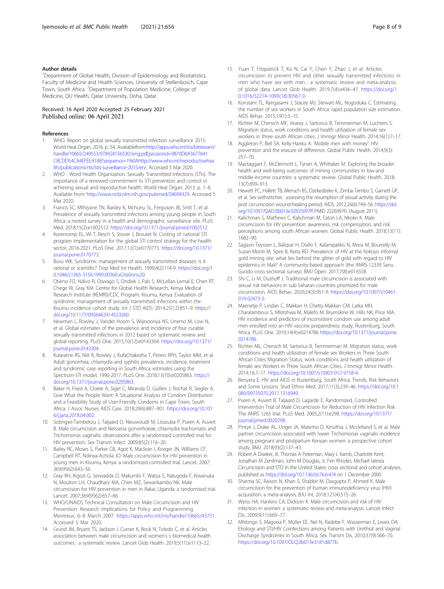#### <span id="page-7-0"></span>Author details

<sup>1</sup>Department of Global Health, Division of Epidemiology and Biostatistics, Faculty of Medicine and Health Sciences, University of Stellenbosch, Cape Town, South Africa. <sup>2</sup>Department of Population Medicine, College of Medicine, QU Health, Qatar University, Doha, Qatar.

Received: 16 April 2020 Accepted: 25 February 2021 Published online: 06 April 2021

#### References

- WHO. Report on global sexually transmitted infection surveillance 2015: World Heal Organ; 2016. p. 54. Availablefrom[:http://apps.who.int/iris/bitstream/](http://apps.who.int/iris/bitstream/handle/10665/249553/9789241565301eng.pdf;jsessionid=9870D6A3677641C8CDD54CA4EFEEA188?sequence=1%0Ahttp://www.who.int/reproductivehealth/publications/rtis/stis-surveillance-2015/en/) [handle/10665/249553/9789241565301eng.pdf;jsessionid=9870D6A3677641](http://apps.who.int/iris/bitstream/handle/10665/249553/9789241565301eng.pdf;jsessionid=9870D6A3677641C8CDD54CA4EFEEA188?sequence=1%0Ahttp://www.who.int/reproductivehealth/publications/rtis/stis-surveillance-2015/en/) [C8CDD54CA4EFEEA188?sequence=1%0Ahttp://www.who.int/reproductivehea](http://apps.who.int/iris/bitstream/handle/10665/249553/9789241565301eng.pdf;jsessionid=9870D6A3677641C8CDD54CA4EFEEA188?sequence=1%0Ahttp://www.who.int/reproductivehealth/publications/rtis/stis-surveillance-2015/en/) [lth/publications/rtis/stis-surveillance-2015/en/.](http://apps.who.int/iris/bitstream/handle/10665/249553/9789241565301eng.pdf;jsessionid=9870D6A3677641C8CDD54CA4EFEEA188?sequence=1%0Ahttp://www.who.int/reproductivehealth/publications/rtis/stis-surveillance-2015/en/) Accessed 5 Mar 2020.
- 2. WHO Word Health Organization. Sexually Transmitted Infections (STIs). The importance of a renewed commitment to STI prevention and control in achieving sexual and reproductive health: World Heal Organ; 2013. p. 1–8. Available from: <http://www.ncbi.nlm.nih.gov/pubmed/24694329>. Accessed 5 Mar 2020.
- 3. Francis SC, Mthiyane TN, Baisley K, Mchunu SL, Ferguson JB, Smit T, et al. Prevalence of sexually transmitted infections among young people in South Africa: a nested survey in a health and demographic surveillance site. PLoS Med. 2018;15(2):e1002512. <https://doi.org/10.1371/journal.pmed.1002512>.
- 4. Korenromp EL, Wi T, Resch S, Stover J, Broutet N. Costing of national STI program implementation for the global STI control strategy for the health sector, 2016-2021. PLoS One. 2017;12(1):e0170773. [https://doi.org/10.1371/](https://doi.org/10.1371/journal.pone.0170773) [journal.pone.0170773](https://doi.org/10.1371/journal.pone.0170773).
- 5. Bosu WK. Syndromic management of sexually transmitted diseases: is it rational or scientific? Trop Med Int Health. 1999;4(2):114-9. [https://doi.org/1](https://doi.org/10.1046/j.1365-3156.1999.00360.xCitations:20) [0.1046/j.1365-3156.1999.00360.xCitations:20](https://doi.org/10.1046/j.1365-3156.1999.00360.xCitations:20).
- 6. Otieno FO, Ndivo R, Oswago S, Ondiek J, Pals S, McLellan-Lemal E, Chen RT, Chege W, Gray KM. Centre for Global Health Research, Kenya Medical Research Institute (KEMRI)/CDC Program, Kisumu, Kenya: Evaluation of syndromic management of sexually transmitted infections within the Kisumu incidence cohort study. Int J STD AIDS. 2014;25(12):851–9. [https://](https://doi.org/10.1177/0956462414523260) [doi.org/10.1177/0956462414523260.](https://doi.org/10.1177/0956462414523260)
- 7. Newman L, Rowley J, Vander Hoorn S, Wijesooriya NS, Unemo M, Low N, et al. Global estimates of the prevalence and incidence of four curable sexually transmitted infections in 2012 based on systematic review and global reporting. PLoS One. 2015;10(12):e0143304. [https://doi.org/10.1371/](https://doi.org/10.1371/journal.pone.0143304) [journal.pone.0143304](https://doi.org/10.1371/journal.pone.0143304)
- 8. Kularatne RS, Niit R, Rowley J, KufaChakezha T, Peters RPH, Taylor MM, et al. Adult gonorrhea, chlamydia and syphilis prevalence, incidence, treatment and syndromic case reporting in South Africa: estimates using the Spectrum-STI model, 1990-2017. PLoS One. 2018;13(10):e0205863. [https://](https://doi.org/10.1371/journal.pone.0205863) [doi.org/10.1371/journal.pone.0205863.](https://doi.org/10.1371/journal.pone.0205863)
- Baker H, Fried A, Cloete A, Sigel C, Miranda D, Guillen J, Rochat R, Siegler A. Give What the People Want: A Situational Analysis of Condom Distribution and a Feasibility Study of User-Friendly Condoms in Cape Town, South Africa. J Assoc Nurses AIDS Care. 2018;29(6):887–901. [https://doi.org/10.101](https://doi.org/10.1016/j.jana.2018.04.002) [6/j.jana.2018.04.002](https://doi.org/10.1016/j.jana.2018.04.002).
- 10. Sobngwi-Tambekou J, Taljaard D, Nieuwoudt M, Lissouba P, Puren A, Auvert B. Male circumcision and Neisseria gonorrhoeae, chlamydia trachomatis and Trichomonas vaginalis: observations after a randomised controlled trial for HIV prevention. Sex Transm Infect. 2009;85(2):116–20.
- 11. Bailey RC, Moses S, Parker CB, Agot K, Maclean I, Krieger JN, Williams CF, Campbell RT, Ndinya-Achola JO. Male circumcision for HIV prevention in young men in Kisumu, Kenya: a randomised controlled trial. Lancet. 2007; 369(9562):643–56.
- 12. Gray RH, Kigozi G, Serwadda D, Makumbi F, Watya S, Nalugoda F, Kiwanuka N, Moulton LH, Chaudhary MA, Chen MZ, Sewankambo NK. Male circumcision for HIV prevention in men in Rakai, Uganda: a randomised trial. Lancet. 2007;369(9562):657–66.
- 13. WHO/UNAIDS Technical Consultation on Male Circumcision and HIV Prevention: Research Implications for Policy and Programming Montreux, 6–8 March 2007. <https://apps.who.int/iris/handle/10665/43751>. Accessed 5 Mar 2020.
- 14. Grund JM, Bryant TS, Jackson I, Curran K, Bock N, Toledo C, et al. Articles association between male circumcision and women's s biomedical health outcomes : a systematic review. Lancet Glob Health. 2019;5(11):e1113–22.
- 15. Yuan T, Fitzpatrick T, Ko N, Cai Y, Chen Y, Zhao J, et al. Articles circumcision to prevent HIV and other sexually transmitted infections in men who have sex with men : a systematic review and meta-analysis of global data. Lancet Glob Health. 2019;7(4):e436–47. [https://doi.org/1](https://doi.org/10.1016/S2214-109X(18)30567-9) [0.1016/S2214-109X\(18\)30567-9](https://doi.org/10.1016/S2214-109X(18)30567-9).
- 16. Konstant TL, Rangasami J, Stacey MJ, Stewart ML, Nogoduka C. Estimating the number of sex workers in South Africa: rapid population size estimation. AIDS Behav. 2015;19(1):3–15.
- 17. Richter M, Chersich MF, Vearey J, Sartorius B, Temmerman M, Luchters S. Migration status, work conditions and health utilization of female sex workers in three south African cities. J Immigr Minor Health. 2014;16(1):7–17.
- 18. Aggleton P, Bell SA, Kelly-Hanku A. 'Mobile men with money': HIV prevention and the erasure of difference. Global Public Health. 2014;9(3): 257–70.
- 19. Mactaggart F, McDermott L, Tynan A, Whittaker M. Exploring the broader health and well-being outcomes of mining communities in low-and middle-income countries: a systematic review. Global Public Health. 2018; 13(7):899–913.
- 20. Hewett PC, Hallett TB, Mensch BS, Dzekedzeke K, Zimba-Tembo S, Garnett GP, et al. Sex withstitches : assessing the resumption of sexual activity during the post circumcision wound-healing period. AIDS. 2012;26(6):749–56. [https://doi.](https://doi.org/10.1097/QAD.0b013e32835097ff) [org/10.1097/QAD.0b013e32835097ff](https://doi.org/10.1097/QAD.0b013e32835097ff) PMID 22269970. (August 2011).
- 21. Kalichman S, Mathews C, Kalichman M, Eaton LA, Nkoko K. Male circumcision for HIV prevention: awareness, risk compensation, and risk perceptions among south African women. Global Public Health. 2018;13(11): 1682–90.
- 22. Sagaon-Teyssier L, Balique H, Diallo F, Kalampalikis N, Mora M, Bourrelly M, Suzan-Monti M, Spire B, Keita BD. Prevalence of HIV at the Kokoyo informal gold mining site: what lies behind the glitter of gold with regard to HIV epidemics in Mali? A community-based approach (the ANRS-12339 Sanu Gundo cross-sectional survey). BMJ Open. 2017;7(8):e016558.
- 23. Shi C, Li M, Dushoff J. Traditional male circumcision is associated with sexual risk behaviors in sub-Saharan countries prioritized for male circumcision. AIDS Behav. 2020;24(3):951-9. [https://doi.org/10.1007/s10461-](https://doi.org/10.1007/s10461-019-02473-0) [019-02473-0.](https://doi.org/10.1007/s10461-019-02473-0)
- 24. Maenetje P, Lindan C, Makkan H, Chetty-Makkan CM, Latka MH, Charalambous S, Mlotshwa M, Malefo M, Brumskine W, Hills NK, Price MA. HIV incidence and predictors of inconsistent condom use among adult men enrolled into an HIV vaccine preparedness study, Rustenburg, South Africa. PLoS One. 2019;14(4):e0214786 [https://doi.org/10.1371/journal.pone.](https://doi.org/10.1371/journal.pone.0214786) [0214786.](https://doi.org/10.1371/journal.pone.0214786)
- 25. Richter ML, Chersich M, Sartorius B, Temmerman M. Migration status, work conditions and health utilization of female sex Workers in Three South African Cities Migration Status, work conditions and health utilization of female sex Workers in Three South African Cities. J Immigr Minor Health. 2014;16:7–17. <https://doi.org/10.1007/s10903-012-9758-4>.
- 26. Benyera E. HIV and AIDS in Rustenburg, South Africa: Trends, Risk Behaviors and Some Lessons. Stud Ethno Med. 2017;11(3):239–46. [https://doi.org/10.1](https://doi.org/10.1080/09735070.2017.1316949) [080/09735070.2017.1316949.](https://doi.org/10.1080/09735070.2017.1316949)
- 27. Puren A, Auvert B, Taljaard D, Lagarde E. Randomized, Controlled Intervention Trial of Male Circumcision for Reduction of HIV Infection Risk : The ANRS 1265 trial. PLoS Med. 2005;2(11):e298. [https://doi.org/10.1371/](https://doi.org/10.1371/journal.pmed.0020298) [journal.pmed.0020298](https://doi.org/10.1371/journal.pmed.0020298).
- 28. Pintye J, Drake AL, Unger JA, Matemo D, Kinuthia J, Mcclelland S, et al. Male partner circumcision associated with lower Trichomonas vaginalis incidence among pregnant and postpartum Kenyan women: a prospective cohort study. BMJ. 2018;93(2):137–43.
- 29. Robert A Diseker, III, Thomas A Peterman, Mary L Kamb, Charlotte Kent, Jonathan M Zenilman, John M Douglas, Jr, Fen Rhodes, Michael Iatesta Circumcision and STD in the United States: cross sectional and cohort analyses, published as <https://doi.org/10.1136/sti.76.6.474> on 1 December 2000.
- 30. Sharma SC, Raison N, Khan S, Shabbir M, Dasgupta P, Ahmed K. Male circumcision for the prevention of human immunodeficiency virus (HIV) acquisition: a meta-analysis. BJU Int. 2018;121(4):515–26.
- 31. Weiss HA, Hankins CA, Dickson K. Male circumcision and risk of HIV infection in women: a systematic review and meta-analysis. Lancet Infect Dis. 2009;9(11):669–77.
- 32. Mhlongo S, Magooa P, Müller EE, Nel N, Radebe F, Wasserman E, Lewis DA. Etiology and STI/HIV Coinfections among Patients with Urethral and Vaginal Discharge Syndromes in South Africa. Sex Transm Dis. 2010;37(9):566–70. <https://doi.org/10.1097/OLQ.0b013e3181d877b>.